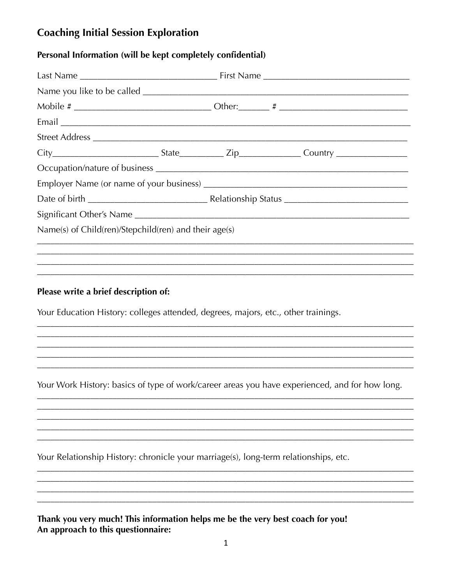# **Coaching Initial Session Exploration**

## Personal Information (will be kept completely confidential)

| Name(s) of Child(ren)/Stepchild(ren) and their $age(s)$                              |                                                                                                |
|--------------------------------------------------------------------------------------|------------------------------------------------------------------------------------------------|
|                                                                                      |                                                                                                |
|                                                                                      |                                                                                                |
| Your Education History: colleges attended, degrees, majors, etc., other trainings.   | Your Work History: basics of type of work/career areas you have experienced, and for how long. |
| Your Relationship History: chronicle your marriage(s), long-term relationships, etc. |                                                                                                |
| Thank you very much! This information helps me be the very best coach for you!       |                                                                                                |

An approach to this questionnaire: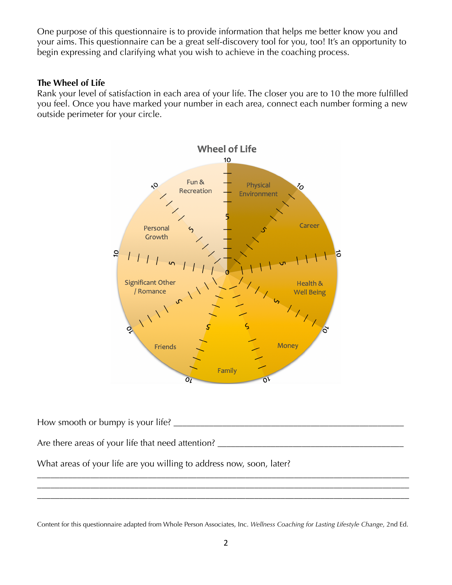One purpose of this questionnaire is to provide information that helps me better know you and your aims. This questionnaire can be a great self-discovery tool for you, too! It's an opportunity to begin expressing and clarifying what you wish to achieve in the coaching process.

#### **The Wheel of Life**

Rank your level of satisfaction in each area of your life. The closer you are to 10 the more fulfilled you feel. Once you have marked your number in each area, connect each number forming a new outside perimeter for your circle.



How smooth or bumpy is your life? Are there areas of your life that need attention?

\_\_\_\_\_\_\_\_\_\_\_\_\_\_\_\_\_\_\_\_\_\_\_\_\_\_\_\_\_\_\_\_\_\_\_\_\_\_\_\_\_\_\_\_\_\_\_\_\_\_\_\_\_\_\_\_\_\_\_\_\_\_\_\_\_\_\_\_\_\_\_\_\_\_\_\_\_\_\_\_\_\_\_\_ \_\_\_\_\_\_\_\_\_\_\_\_\_\_\_\_\_\_\_\_\_\_\_\_\_\_\_\_\_\_\_\_\_\_\_\_\_\_\_\_\_\_\_\_\_\_\_\_\_\_\_\_\_\_\_\_\_\_\_\_\_\_\_\_\_\_\_\_\_\_\_\_\_\_\_\_\_\_\_\_\_\_\_\_ \_\_\_\_\_\_\_\_\_\_\_\_\_\_\_\_\_\_\_\_\_\_\_\_\_\_\_\_\_\_\_\_\_\_\_\_\_\_\_\_\_\_\_\_\_\_\_\_\_\_\_\_\_\_\_\_\_\_\_\_\_\_\_\_\_\_\_\_\_\_\_\_\_\_\_\_\_\_\_\_\_\_\_\_

What areas of your life are you willing to address now, soon, later?

Content for this questionnaire adapted from Whole Person Associates, Inc. *Wellness Coaching for Lasting Lifestyle Change*, 2nd Ed.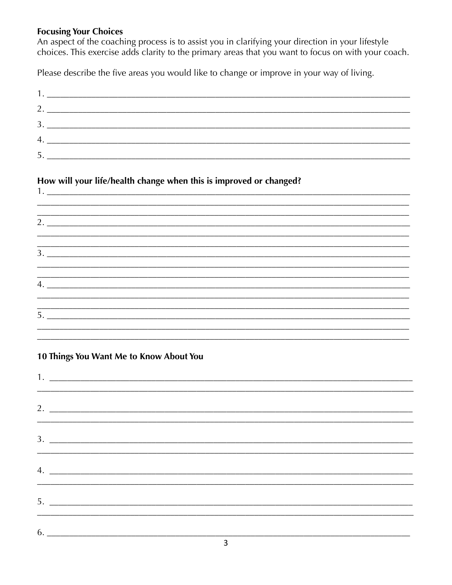## **Focusing Your Choices**

An aspect of the coaching process is to assist you in clarifying your direction in your lifestyle choices. This exercise adds clarity to the primary areas that you want to focus on with your coach.

Please describe the five areas you would like to change or improve in your way of living.

| 3. |    |
|----|----|
|    | 4. |
| 5. |    |

## How will your life/health change when this is improved or changed?

| 2. |  |  |
|----|--|--|
|    |  |  |
|    |  |  |
|    |  |  |
|    |  |  |
| 5. |  |  |

## 10 Things You Want Me to Know About You

 $1.$   $\overline{\phantom{a}}$   $\overline{\phantom{a}}$   $\overline{\phantom{a}}$   $\overline{\phantom{a}}$   $\overline{\phantom{a}}$   $\overline{\phantom{a}}$   $\overline{\phantom{a}}$   $\overline{\phantom{a}}$   $\overline{\phantom{a}}$   $\overline{\phantom{a}}$   $\overline{\phantom{a}}$   $\overline{\phantom{a}}$   $\overline{\phantom{a}}$   $\overline{\phantom{a}}$   $\overline{\phantom{a}}$   $\overline{\phantom{a}}$   $\overline{\phantom{a}}$   $\overline{\phantom{a}}$ 

|  | $\sim$ |  |
|--|--------|--|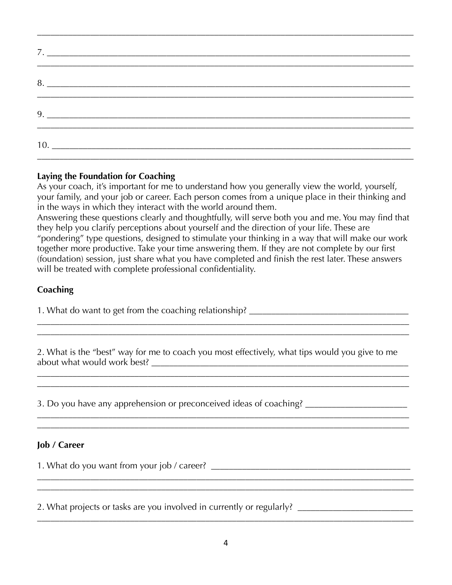\_\_\_\_\_\_\_\_\_\_\_\_\_\_\_\_\_\_\_\_\_\_\_\_\_\_\_\_\_\_\_\_\_\_\_\_\_\_\_\_\_\_\_\_\_\_\_\_\_\_\_\_\_\_\_\_\_\_\_\_\_\_\_\_\_\_\_\_\_\_\_\_\_\_\_\_\_\_\_\_\_\_\_\_\_

#### **Laying the Foundation for Coaching**

As your coach, it's important for me to understand how you generally view the world, yourself, your family, and your job or career. Each person comes from a unique place in their thinking and in the ways in which they interact with the world around them.

Answering these questions clearly and thoughtfully, will serve both you and me. You may find that they help you clarify perceptions about yourself and the direction of your life. These are "pondering" type questions, designed to stimulate your thinking in a way that will make our work together more productive. Take your time answering them. If they are not complete by our first (foundation) session, just share what you have completed and finish the rest later. These answers will be treated with complete professional confidentiality.

#### **Coaching**

1. What do want to get from the coaching relationship? \_\_\_\_\_\_\_\_\_\_\_\_\_\_\_\_\_\_\_\_\_\_\_\_\_\_

2. What is the "best" way for me to coach you most effectively, what tips would you give to me about what would work best? \_\_\_\_\_\_\_\_\_\_\_\_\_\_\_\_\_\_\_\_\_\_\_\_\_\_\_\_\_\_\_\_\_\_\_\_\_\_\_\_\_\_\_\_\_\_\_\_\_\_\_\_\_\_\_\_\_\_

\_\_\_\_\_\_\_\_\_\_\_\_\_\_\_\_\_\_\_\_\_\_\_\_\_\_\_\_\_\_\_\_\_\_\_\_\_\_\_\_\_\_\_\_\_\_\_\_\_\_\_\_\_\_\_\_\_\_\_\_\_\_\_\_\_\_\_\_\_\_\_\_\_\_\_\_\_\_\_\_\_\_\_\_ \_\_\_\_\_\_\_\_\_\_\_\_\_\_\_\_\_\_\_\_\_\_\_\_\_\_\_\_\_\_\_\_\_\_\_\_\_\_\_\_\_\_\_\_\_\_\_\_\_\_\_\_\_\_\_\_\_\_\_\_\_\_\_\_\_\_\_\_\_\_\_\_\_\_\_\_\_\_\_\_\_\_\_\_

\_\_\_\_\_\_\_\_\_\_\_\_\_\_\_\_\_\_\_\_\_\_\_\_\_\_\_\_\_\_\_\_\_\_\_\_\_\_\_\_\_\_\_\_\_\_\_\_\_\_\_\_\_\_\_\_\_\_\_\_\_\_\_\_\_\_\_\_\_\_\_\_\_\_\_\_\_\_\_\_\_\_\_\_ \_\_\_\_\_\_\_\_\_\_\_\_\_\_\_\_\_\_\_\_\_\_\_\_\_\_\_\_\_\_\_\_\_\_\_\_\_\_\_\_\_\_\_\_\_\_\_\_\_\_\_\_\_\_\_\_\_\_\_\_\_\_\_\_\_\_\_\_\_\_\_\_\_\_\_\_\_\_\_\_\_\_\_\_

\_\_\_\_\_\_\_\_\_\_\_\_\_\_\_\_\_\_\_\_\_\_\_\_\_\_\_\_\_\_\_\_\_\_\_\_\_\_\_\_\_\_\_\_\_\_\_\_\_\_\_\_\_\_\_\_\_\_\_\_\_\_\_\_\_\_\_\_\_\_\_\_\_\_\_\_\_\_\_\_\_\_\_\_ \_\_\_\_\_\_\_\_\_\_\_\_\_\_\_\_\_\_\_\_\_\_\_\_\_\_\_\_\_\_\_\_\_\_\_\_\_\_\_\_\_\_\_\_\_\_\_\_\_\_\_\_\_\_\_\_\_\_\_\_\_\_\_\_\_\_\_\_\_\_\_\_\_\_\_\_\_\_\_\_\_\_\_\_

3. Do you have any apprehension or preconceived ideas of coaching? \_\_\_\_\_\_\_\_\_\_\_\_\_

#### **Job / Career**

1. What do you want from your job / career? \_\_\_\_\_\_\_\_\_\_\_\_\_\_\_\_\_\_\_\_\_\_\_\_\_\_\_\_\_\_\_\_\_\_\_\_\_\_\_\_\_\_\_\_\_

2. What projects or tasks are you involved in currently or regularly? \_\_\_\_\_\_\_\_\_\_\_\_\_\_\_\_\_\_\_\_\_\_\_\_\_\_

 $\mathcal{L}_\text{max} = \mathcal{L}_\text{max} = \mathcal{L}_\text{max} = \mathcal{L}_\text{max} = \mathcal{L}_\text{max} = \mathcal{L}_\text{max} = \mathcal{L}_\text{max} = \mathcal{L}_\text{max} = \mathcal{L}_\text{max} = \mathcal{L}_\text{max} = \mathcal{L}_\text{max} = \mathcal{L}_\text{max} = \mathcal{L}_\text{max} = \mathcal{L}_\text{max} = \mathcal{L}_\text{max} = \mathcal{L}_\text{max} = \mathcal{L}_\text{max} = \mathcal{L}_\text{max} = \mathcal{$ 

\_\_\_\_\_\_\_\_\_\_\_\_\_\_\_\_\_\_\_\_\_\_\_\_\_\_\_\_\_\_\_\_\_\_\_\_\_\_\_\_\_\_\_\_\_\_\_\_\_\_\_\_\_\_\_\_\_\_\_\_\_\_\_\_\_\_\_\_\_\_\_\_\_\_\_\_\_\_\_\_\_\_\_\_\_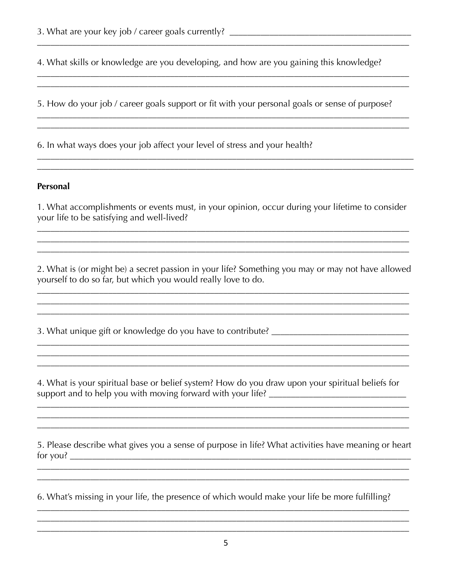4. What skills or knowledge are you developing, and how are you gaining this knowledge?

5. How do your job / career goals support or fit with your personal goals or sense of purpose?

<u> 1989 - 1989 - 1989 - 1989 - 1989 - 1989 - 1989 - 1989 - 1989 - 1989 - 1989 - 1989 - 1989 - 1989 - 1989 - 19</u>

6. In what ways does your job affect your level of stress and your health?

## Personal

1. What accomplishments or events must, in your opinion, occur during your lifetime to consider your life to be satisfying and well-lived?

2. What is (or might be) a secret passion in your life? Something you may or may not have allowed yourself to do so far, but which you would really love to do.

<u> 2002 - Jan James James James James James James James James James James James James James James James James J</u>

3. What unique gift or knowledge do you have to contribute? \_\_\_\_\_\_\_\_\_\_\_\_\_\_\_\_\_\_\_\_

<u> 1980 - Jan James James Barnett, fransk politik (d. 1980)</u>

4. What is your spiritual base or belief system? How do you draw upon your spiritual beliefs for 

5. Please describe what gives you a sense of purpose in life? What activities have meaning or heart 

<u> 1989 - Johann Barn, fransk politik (f. 1989)</u>

6. What's missing in your life, the presence of which would make your life be more fulfilling?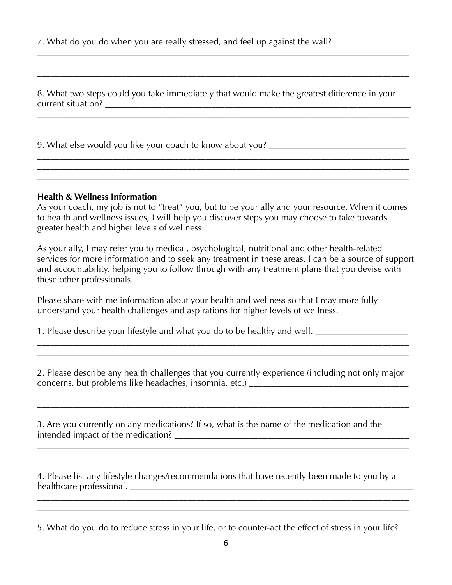7. What do you do when you are really stressed, and feel up against the wall?

8. What two steps could you take immediately that would make the greatest difference in your current situation? \_\_\_\_\_\_\_\_\_\_\_\_\_\_\_\_\_\_\_\_\_\_\_\_\_\_\_\_\_\_\_\_\_\_\_\_\_\_\_\_\_\_\_\_\_\_\_\_\_\_\_\_\_\_\_\_\_\_\_\_\_\_\_\_\_\_\_\_\_

\_\_\_\_\_\_\_\_\_\_\_\_\_\_\_\_\_\_\_\_\_\_\_\_\_\_\_\_\_\_\_\_\_\_\_\_\_\_\_\_\_\_\_\_\_\_\_\_\_\_\_\_\_\_\_\_\_\_\_\_\_\_\_\_\_\_\_\_\_\_\_\_\_\_\_\_\_\_\_\_\_\_\_\_ \_\_\_\_\_\_\_\_\_\_\_\_\_\_\_\_\_\_\_\_\_\_\_\_\_\_\_\_\_\_\_\_\_\_\_\_\_\_\_\_\_\_\_\_\_\_\_\_\_\_\_\_\_\_\_\_\_\_\_\_\_\_\_\_\_\_\_\_\_\_\_\_\_\_\_\_\_\_\_\_\_\_\_\_

\_\_\_\_\_\_\_\_\_\_\_\_\_\_\_\_\_\_\_\_\_\_\_\_\_\_\_\_\_\_\_\_\_\_\_\_\_\_\_\_\_\_\_\_\_\_\_\_\_\_\_\_\_\_\_\_\_\_\_\_\_\_\_\_\_\_\_\_\_\_\_\_\_\_\_\_\_\_\_\_\_\_\_\_ \_\_\_\_\_\_\_\_\_\_\_\_\_\_\_\_\_\_\_\_\_\_\_\_\_\_\_\_\_\_\_\_\_\_\_\_\_\_\_\_\_\_\_\_\_\_\_\_\_\_\_\_\_\_\_\_\_\_\_\_\_\_\_\_\_\_\_\_\_\_\_\_\_\_\_\_\_\_\_\_\_\_\_\_

\_\_\_\_\_\_\_\_\_\_\_\_\_\_\_\_\_\_\_\_\_\_\_\_\_\_\_\_\_\_\_\_\_\_\_\_\_\_\_\_\_\_\_\_\_\_\_\_\_\_\_\_\_\_\_\_\_\_\_\_\_\_\_\_\_\_\_\_\_\_\_\_\_\_\_\_\_\_\_\_\_\_\_\_ \_\_\_\_\_\_\_\_\_\_\_\_\_\_\_\_\_\_\_\_\_\_\_\_\_\_\_\_\_\_\_\_\_\_\_\_\_\_\_\_\_\_\_\_\_\_\_\_\_\_\_\_\_\_\_\_\_\_\_\_\_\_\_\_\_\_\_\_\_\_\_\_\_\_\_\_\_\_\_\_\_\_\_\_

\_\_\_\_\_\_\_\_\_\_\_\_\_\_\_\_\_\_\_\_\_\_\_\_\_\_\_\_\_\_\_\_\_\_\_\_\_\_\_\_\_\_\_\_\_\_\_\_\_\_\_\_\_\_\_\_\_\_\_\_\_\_\_\_\_\_\_\_\_\_\_\_\_\_\_\_\_\_\_\_\_\_\_\_

9. What else would you like your coach to know about you?

#### **Health & Wellness Information**

As your coach, my job is not to "treat" you, but to be your ally and your resource. When it comes to health and wellness issues, I will help you discover steps you may choose to take towards greater health and higher levels of wellness.

As your ally, I may refer you to medical, psychological, nutritional and other health-related services for more information and to seek any treatment in these areas. I can be a source of support and accountability, helping you to follow through with any treatment plans that you devise with these other professionals.

Please share with me information about your health and wellness so that I may more fully understand your health challenges and aspirations for higher levels of wellness.

\_\_\_\_\_\_\_\_\_\_\_\_\_\_\_\_\_\_\_\_\_\_\_\_\_\_\_\_\_\_\_\_\_\_\_\_\_\_\_\_\_\_\_\_\_\_\_\_\_\_\_\_\_\_\_\_\_\_\_\_\_\_\_\_\_\_\_\_\_\_\_\_\_\_\_\_\_\_\_\_\_\_\_\_

\_\_\_\_\_\_\_\_\_\_\_\_\_\_\_\_\_\_\_\_\_\_\_\_\_\_\_\_\_\_\_\_\_\_\_\_\_\_\_\_\_\_\_\_\_\_\_\_\_\_\_\_\_\_\_\_\_\_\_\_\_\_\_\_\_\_\_\_\_\_\_\_\_\_\_\_\_\_\_\_\_\_\_\_

1. Please describe your lifestyle and what you do to be healthy and well.

2. Please describe any health challenges that you currently experience (including not only major concerns, but problems like headaches, insomnia, etc.) \_\_\_\_\_\_\_\_\_\_\_\_\_\_\_\_\_\_\_\_\_\_\_\_\_\_

\_\_\_\_\_\_\_\_\_\_\_\_\_\_\_\_\_\_\_\_\_\_\_\_\_\_\_\_\_\_\_\_\_\_\_\_\_\_\_\_\_\_\_\_\_\_\_\_\_\_\_\_\_\_\_\_\_\_\_\_\_\_\_\_\_\_\_\_\_\_\_\_\_\_\_\_\_\_\_\_\_\_\_\_

\_\_\_\_\_\_\_\_\_\_\_\_\_\_\_\_\_\_\_\_\_\_\_\_\_\_\_\_\_\_\_\_\_\_\_\_\_\_\_\_\_\_\_\_\_\_\_\_\_\_\_\_\_\_\_\_\_\_\_\_\_\_\_\_\_\_\_\_\_\_\_\_\_\_\_\_\_\_\_\_\_\_\_\_ \_\_\_\_\_\_\_\_\_\_\_\_\_\_\_\_\_\_\_\_\_\_\_\_\_\_\_\_\_\_\_\_\_\_\_\_\_\_\_\_\_\_\_\_\_\_\_\_\_\_\_\_\_\_\_\_\_\_\_\_\_\_\_\_\_\_\_\_\_\_\_\_\_\_\_\_\_\_\_\_\_\_\_\_

\_\_\_\_\_\_\_\_\_\_\_\_\_\_\_\_\_\_\_\_\_\_\_\_\_\_\_\_\_\_\_\_\_\_\_\_\_\_\_\_\_\_\_\_\_\_\_\_\_\_\_\_\_\_\_\_\_\_\_\_\_\_\_\_\_\_\_\_\_\_\_\_\_\_\_\_\_\_\_\_\_\_\_\_

3. Are you currently on any medications? If so, what is the name of the medication and the intended impact of the medication? \_\_\_\_\_\_\_\_\_\_\_\_\_\_\_\_\_\_\_\_\_\_\_\_\_\_\_\_\_\_\_\_\_\_\_\_\_\_\_\_\_\_\_\_\_\_\_\_\_\_\_\_\_

4. Please list any lifestyle changes/recommendations that have recently been made to you by a healthcare professional. \_\_\_\_\_\_\_\_\_\_\_\_\_\_\_\_\_\_\_\_\_\_\_\_\_\_\_\_\_\_\_\_\_\_\_\_\_\_\_\_\_\_\_\_\_\_\_\_\_\_\_\_\_\_\_\_\_\_\_\_\_\_\_\_

\_\_\_\_\_\_\_\_\_\_\_\_\_\_\_\_\_\_\_\_\_\_\_\_\_\_\_\_\_\_\_\_\_\_\_\_\_\_\_\_\_\_\_\_\_\_\_\_\_\_\_\_\_\_\_\_\_\_\_\_\_\_\_\_\_\_\_\_\_\_\_\_\_\_\_\_\_\_\_\_\_\_\_\_ \_\_\_\_\_\_\_\_\_\_\_\_\_\_\_\_\_\_\_\_\_\_\_\_\_\_\_\_\_\_\_\_\_\_\_\_\_\_\_\_\_\_\_\_\_\_\_\_\_\_\_\_\_\_\_\_\_\_\_\_\_\_\_\_\_\_\_\_\_\_\_\_\_\_\_\_\_\_\_\_\_\_\_\_

5. What do you do to reduce stress in your life, or to counter-act the effect of stress in your life?